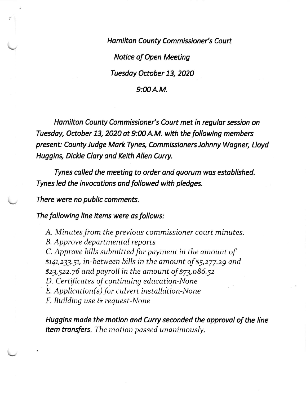Hamilton County Commissioner's Court Notice of Open Meeting Tuesday October 13, 2020

## $9:00A.M.$

Hamilton County Commissioner's Court met in regular session on Tuesday, October 13, 2020 at 9:00 A.M. with the following members present: County Judge Mark Tynes, Commissioners Johnny Wagner, Lloyd Huggins, Dickie Clory ond Keith Allen Curry.

Tynes colled the meeting to order and quorum wos estoblished. Tynes led the invocotions ond followed with pledges.

There were no public comments.

The following line items were os follows:

A. Minutes from the previous commissioner court minutes. B. Approve departmental reports C. Approve bills submitted for payment in the amount of 9141,233.51, in-between bills in the amount of \$5,277.29 and \$23,522.76 and payroll in the amount of  $$73,086.52$ D. Certificates of continuing education-None<br> $\overline{E}$ . Application(s) for culvert installation-None F. Building use & request-None

Huggins made the motion and Curry seconded the approval of the line item transfers. The motion passed unanimously.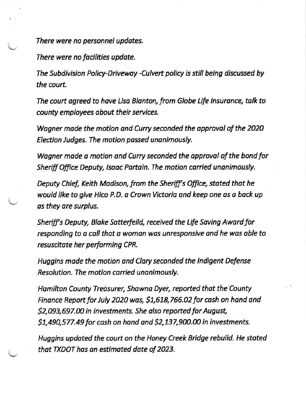There were no personnel updates.

There were no focilities updote.

The Subdivision Policy-Drivewoy -Culvert policy is still being discussed by the court.

The court agreed to have Lisa Blanton, from Globe Life Insurance, talk to county employees about their services.

Wogner mode the motion and Curry seconded the opproval of the 2O2O Election Judges. The motion passed unanimously.

Wagner made a motion and Curry seconded the approval of the bond for Sheriff Office Deputy, Isaac Partain. The motion carried unanimously.

Deputy Chief, Keith Madison, from the Sheriff's Office, stated that he would like to give Hico P.D. a Crown Victoria and keep one as a back up as they ore surplus.

Sheriff's Deputy, Blake Satterfeild, received the Life Saving Award for responding to a call that a woman was unresponsive and he was able to resuscitote her performing CPR.

Huggins made the motion ond Clory seconded the lndigent Defense Resolution. The motion carried unanimously.

Hamilton County Treosurer, Showno Dyer, reported thot the County Finance Report for July 2020 was, \$1,618,766.02 for cash on hand and \$2,093,697.00 in investments. She also reported for August, \$1,490,577.49 for cash on hand and \$2,137,900.00 in investments.

Huggins updoted the court on the Honey Creek Bridge rehuild. He stoted that TXDOT has on estimoted dote of 2O23.